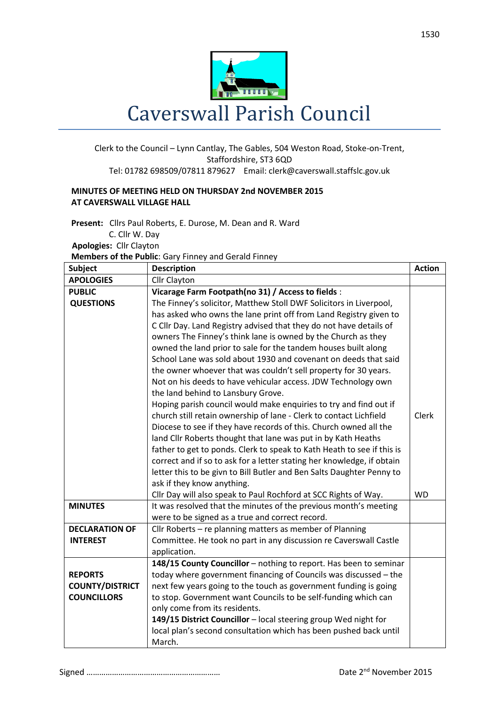

## Clerk to the Council – Lynn Cantlay, The Gables, 504 Weston Road, Stoke-on-Trent, Staffordshire, ST3 6QD Tel: 01782 698509/07811 879627 Email: clerk@caverswall.staffslc.gov.uk

## **MINUTES OF MEETING HELD ON THURSDAY 2nd NOVEMBER 2015 AT CAVERSWALL VILLAGE HALL**

**Present:** Cllrs Paul Roberts, E. Durose, M. Dean and R. Ward C. Cllr W. Day  **Apologies:** Cllr Clayton

**Members of the Public**: Gary Finney and Gerald Finney

| <b>Subject</b>         | <b>Description</b>                                                     | <b>Action</b> |
|------------------------|------------------------------------------------------------------------|---------------|
| <b>APOLOGIES</b>       | Cllr Clayton                                                           |               |
| <b>PUBLIC</b>          | Vicarage Farm Footpath(no 31) / Access to fields :                     |               |
| <b>QUESTIONS</b>       | The Finney's solicitor, Matthew Stoll DWF Solicitors in Liverpool,     |               |
|                        | has asked who owns the lane print off from Land Registry given to      |               |
|                        | C Cllr Day. Land Registry advised that they do not have details of     |               |
|                        | owners The Finney's think lane is owned by the Church as they          |               |
|                        | owned the land prior to sale for the tandem houses built along         |               |
|                        | School Lane was sold about 1930 and covenant on deeds that said        |               |
|                        | the owner whoever that was couldn't sell property for 30 years.        |               |
|                        | Not on his deeds to have vehicular access. JDW Technology own          |               |
|                        | the land behind to Lansbury Grove.                                     |               |
|                        | Hoping parish council would make enquiries to try and find out if      |               |
|                        | church still retain ownership of lane - Clerk to contact Lichfield     | <b>Clerk</b>  |
|                        | Diocese to see if they have records of this. Church owned all the      |               |
|                        | land Cllr Roberts thought that lane was put in by Kath Heaths          |               |
|                        | father to get to ponds. Clerk to speak to Kath Heath to see if this is |               |
|                        | correct and if so to ask for a letter stating her knowledge, if obtain |               |
|                        | letter this to be givn to Bill Butler and Ben Salts Daughter Penny to  |               |
|                        | ask if they know anything.                                             |               |
|                        | Cllr Day will also speak to Paul Rochford at SCC Rights of Way.        | <b>WD</b>     |
| <b>MINUTES</b>         | It was resolved that the minutes of the previous month's meeting       |               |
|                        | were to be signed as a true and correct record.                        |               |
| <b>DECLARATION OF</b>  | Cllr Roberts – re planning matters as member of Planning               |               |
| <b>INTEREST</b>        | Committee. He took no part in any discussion re Caverswall Castle      |               |
|                        | application.                                                           |               |
|                        | 148/15 County Councillor - nothing to report. Has been to seminar      |               |
| <b>REPORTS</b>         | today where government financing of Councils was discussed - the       |               |
| <b>COUNTY/DISTRICT</b> | next few years going to the touch as government funding is going       |               |
| <b>COUNCILLORS</b>     | to stop. Government want Councils to be self-funding which can         |               |
|                        | only come from its residents.                                          |               |
|                        | 149/15 District Councillor - local steering group Wed night for        |               |
|                        | local plan's second consultation which has been pushed back until      |               |
|                        | March.                                                                 |               |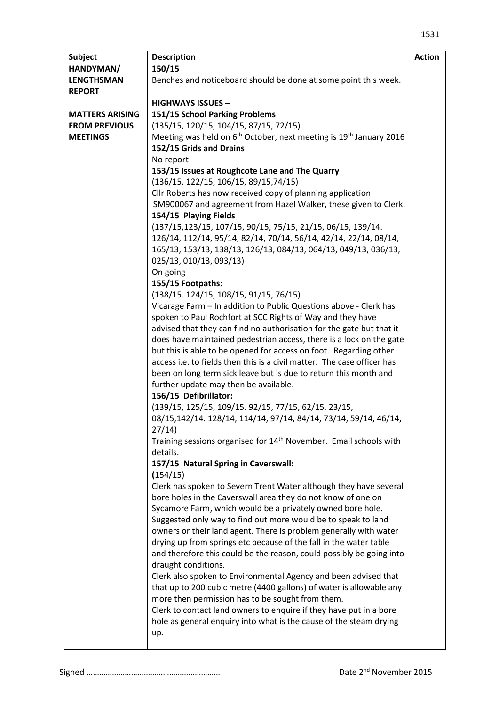| <b>Subject</b>         | <b>Description</b>                                                                                                                          | <b>Action</b> |
|------------------------|---------------------------------------------------------------------------------------------------------------------------------------------|---------------|
| HANDYMAN/              | 150/15                                                                                                                                      |               |
| <b>LENGTHSMAN</b>      | Benches and noticeboard should be done at some point this week.                                                                             |               |
| <b>REPORT</b>          |                                                                                                                                             |               |
|                        | <b>HIGHWAYS ISSUES -</b>                                                                                                                    |               |
| <b>MATTERS ARISING</b> | 151/15 School Parking Problems                                                                                                              |               |
| <b>FROM PREVIOUS</b>   | (135/15, 120/15, 104/15, 87/15, 72/15)                                                                                                      |               |
| <b>MEETINGS</b>        | Meeting was held on 6 <sup>th</sup> October, next meeting is 19 <sup>th</sup> January 2016                                                  |               |
|                        | 152/15 Grids and Drains                                                                                                                     |               |
|                        | No report                                                                                                                                   |               |
|                        | 153/15 Issues at Roughcote Lane and The Quarry                                                                                              |               |
|                        | $(136/15, 122/15, 106/15, 89/15, 74/15)$                                                                                                    |               |
|                        | Cllr Roberts has now received copy of planning application                                                                                  |               |
|                        | SM900067 and agreement from Hazel Walker, these given to Clerk.<br>154/15 Playing Fields                                                    |               |
|                        | (137/15, 123/15, 107/15, 90/15, 75/15, 21/15, 06/15, 139/14.                                                                                |               |
|                        | 126/14, 112/14, 95/14, 82/14, 70/14, 56/14, 42/14, 22/14, 08/14,                                                                            |               |
|                        | 165/13, 153/13, 138/13, 126/13, 084/13, 064/13, 049/13, 036/13,                                                                             |               |
|                        | 025/13, 010/13, 093/13)                                                                                                                     |               |
|                        | On going                                                                                                                                    |               |
|                        | 155/15 Footpaths:                                                                                                                           |               |
|                        | $(138/15. 124/15, 108/15, 91/15, 76/15)$                                                                                                    |               |
|                        | Vicarage Farm - In addition to Public Questions above - Clerk has                                                                           |               |
|                        | spoken to Paul Rochfort at SCC Rights of Way and they have                                                                                  |               |
|                        | advised that they can find no authorisation for the gate but that it                                                                        |               |
|                        | does have maintained pedestrian access, there is a lock on the gate                                                                         |               |
|                        | but this is able to be opened for access on foot. Regarding other                                                                           |               |
|                        | access i.e. to fields then this is a civil matter. The case officer has<br>been on long term sick leave but is due to return this month and |               |
|                        | further update may then be available.                                                                                                       |               |
|                        | 156/15 Defibrillator:                                                                                                                       |               |
|                        | (139/15, 125/15, 109/15. 92/15, 77/15, 62/15, 23/15,                                                                                        |               |
|                        | 08/15,142/14. 128/14, 114/14, 97/14, 84/14, 73/14, 59/14, 46/14,                                                                            |               |
|                        | 27/14)                                                                                                                                      |               |
|                        | Training sessions organised for 14 <sup>th</sup> November. Email schools with                                                               |               |
|                        | details.                                                                                                                                    |               |
|                        | 157/15 Natural Spring in Caverswall:                                                                                                        |               |
|                        | (154/15)                                                                                                                                    |               |
|                        | Clerk has spoken to Severn Trent Water although they have several                                                                           |               |
|                        | bore holes in the Caverswall area they do not know of one on                                                                                |               |
|                        | Sycamore Farm, which would be a privately owned bore hole.                                                                                  |               |
|                        | Suggested only way to find out more would be to speak to land                                                                               |               |
|                        | owners or their land agent. There is problem generally with water<br>drying up from springs etc because of the fall in the water table      |               |
|                        | and therefore this could be the reason, could possibly be going into                                                                        |               |
|                        | draught conditions.                                                                                                                         |               |
|                        | Clerk also spoken to Environmental Agency and been advised that                                                                             |               |
|                        | that up to 200 cubic metre (4400 gallons) of water is allowable any                                                                         |               |
|                        | more then permission has to be sought from them.                                                                                            |               |
|                        | Clerk to contact land owners to enquire if they have put in a bore                                                                          |               |
|                        | hole as general enquiry into what is the cause of the steam drying                                                                          |               |
|                        | up.                                                                                                                                         |               |
|                        |                                                                                                                                             |               |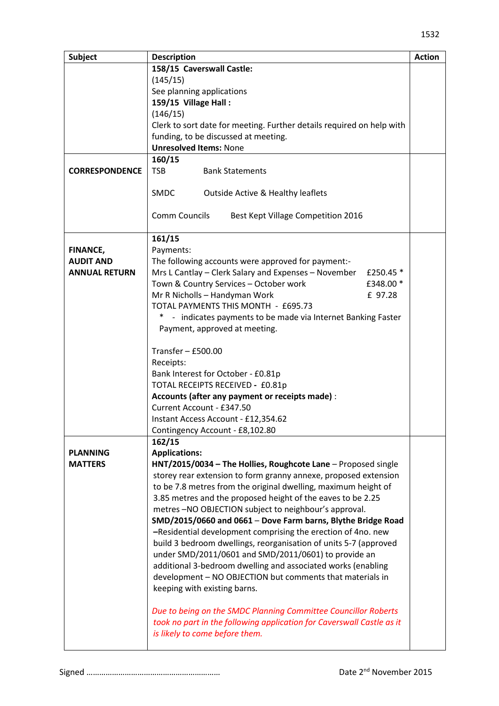| <b>Subject</b>        | <b>Description</b>                                                    | <b>Action</b> |
|-----------------------|-----------------------------------------------------------------------|---------------|
|                       | 158/15 Caverswall Castle:                                             |               |
|                       | (145/15)                                                              |               |
|                       | See planning applications                                             |               |
|                       | 159/15 Village Hall:                                                  |               |
|                       | (146/15)                                                              |               |
|                       | Clerk to sort date for meeting. Further details required on help with |               |
|                       | funding, to be discussed at meeting.                                  |               |
|                       | <b>Unresolved Items: None</b>                                         |               |
|                       | 160/15                                                                |               |
| <b>CORRESPONDENCE</b> | <b>TSB</b><br><b>Bank Statements</b>                                  |               |
|                       |                                                                       |               |
|                       | SMDC<br><b>Outside Active &amp; Healthy leaflets</b>                  |               |
|                       |                                                                       |               |
|                       | Comm Councils<br>Best Kept Village Competition 2016                   |               |
|                       |                                                                       |               |
|                       | 161/15                                                                |               |
| <b>FINANCE,</b>       | Payments:                                                             |               |
| <b>AUDIT AND</b>      | The following accounts were approved for payment:-                    |               |
| <b>ANNUAL RETURN</b>  | Mrs L Cantlay - Clerk Salary and Expenses - November<br>£250.45 *     |               |
|                       | Town & Country Services - October work<br>£348.00 *                   |               |
|                       | Mr R Nicholls - Handyman Work<br>£ 97.28                              |               |
|                       | TOTAL PAYMENTS THIS MONTH - £695.73                                   |               |
|                       | $\ast$<br>- indicates payments to be made via Internet Banking Faster |               |
|                       | Payment, approved at meeting.                                         |               |
|                       |                                                                       |               |
|                       | Transfer $-$ £500.00                                                  |               |
|                       | Receipts:                                                             |               |
|                       | Bank Interest for October - £0.81p                                    |               |
|                       | TOTAL RECEIPTS RECEIVED - £0.81p                                      |               |
|                       | Accounts (after any payment or receipts made) :                       |               |
|                       | Current Account - £347.50                                             |               |
|                       | Instant Access Account - £12,354.62                                   |               |
|                       | Contingency Account - £8,102.80                                       |               |
|                       | 162/15                                                                |               |
| <b>PLANNING</b>       | <b>Applications:</b>                                                  |               |
| <b>MATTERS</b>        | HNT/2015/0034 - The Hollies, Roughcote Lane - Proposed single         |               |
|                       | storey rear extension to form granny annexe, proposed extension       |               |
|                       | to be 7.8 metres from the original dwelling, maximum height of        |               |
|                       | 3.85 metres and the proposed height of the eaves to be 2.25           |               |
|                       | metres-NO OBJECTION subject to neighbour's approval.                  |               |
|                       | SMD/2015/0660 and 0661 - Dove Farm barns, Blythe Bridge Road          |               |
|                       | -Residential development comprising the erection of 4no. new          |               |
|                       | build 3 bedroom dwellings, reorganisation of units 5-7 (approved      |               |
|                       | under SMD/2011/0601 and SMD/2011/0601) to provide an                  |               |
|                       | additional 3-bedroom dwelling and associated works (enabling          |               |
|                       | development - NO OBJECTION but comments that materials in             |               |
|                       | keeping with existing barns.                                          |               |
|                       |                                                                       |               |
|                       | Due to being on the SMDC Planning Committee Councillor Roberts        |               |
|                       | took no part in the following application for Caverswall Castle as it |               |
|                       | is likely to come before them.                                        |               |
|                       |                                                                       |               |